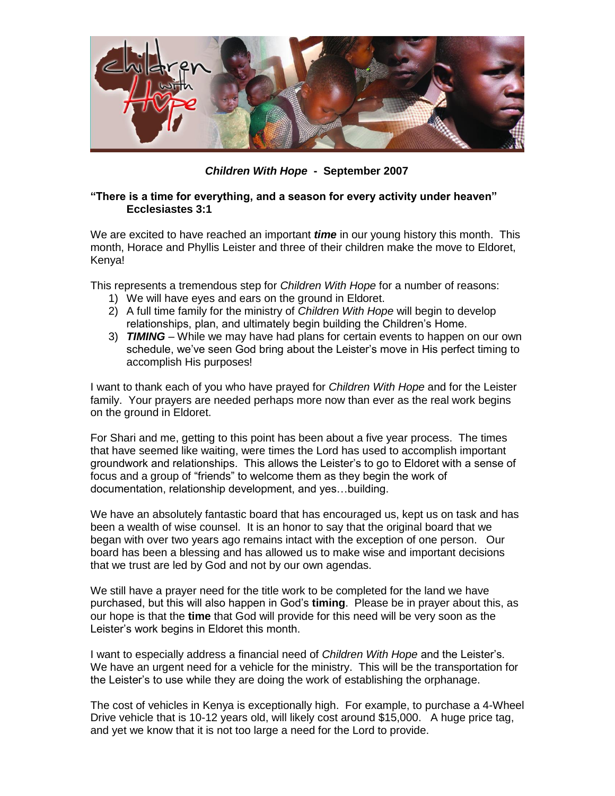

*Children With Hope* **- September 2007**

## **"There is a time for everything, and a season for every activity under heaven" Ecclesiastes 3:1**

We are excited to have reached an important *time* in our young history this month. This month, Horace and Phyllis Leister and three of their children make the move to Eldoret, Kenya!

This represents a tremendous step for *Children With Hope* for a number of reasons:

- 1) We will have eyes and ears on the ground in Eldoret.
- 2) A full time family for the ministry of *Children With Hope* will begin to develop relationships, plan, and ultimately begin building the Children's Home.
- 3) *TIMING* While we may have had plans for certain events to happen on our own schedule, we've seen God bring about the Leister's move in His perfect timing to accomplish His purposes!

I want to thank each of you who have prayed for *Children With Hope* and for the Leister family. Your prayers are needed perhaps more now than ever as the real work begins on the ground in Eldoret.

For Shari and me, getting to this point has been about a five year process. The times that have seemed like waiting, were times the Lord has used to accomplish important groundwork and relationships. This allows the Leister's to go to Eldoret with a sense of focus and a group of "friends" to welcome them as they begin the work of documentation, relationship development, and yes…building.

We have an absolutely fantastic board that has encouraged us, kept us on task and has been a wealth of wise counsel. It is an honor to say that the original board that we began with over two years ago remains intact with the exception of one person. Our board has been a blessing and has allowed us to make wise and important decisions that we trust are led by God and not by our own agendas.

We still have a prayer need for the title work to be completed for the land we have purchased, but this will also happen in God's **timing**. Please be in prayer about this, as our hope is that the **time** that God will provide for this need will be very soon as the Leister's work begins in Eldoret this month.

I want to especially address a financial need of *Children With Hope* and the Leister's. We have an urgent need for a vehicle for the ministry. This will be the transportation for the Leister's to use while they are doing the work of establishing the orphanage.

The cost of vehicles in Kenya is exceptionally high. For example, to purchase a 4-Wheel Drive vehicle that is 10-12 years old, will likely cost around \$15,000. A huge price tag, and yet we know that it is not too large a need for the Lord to provide.